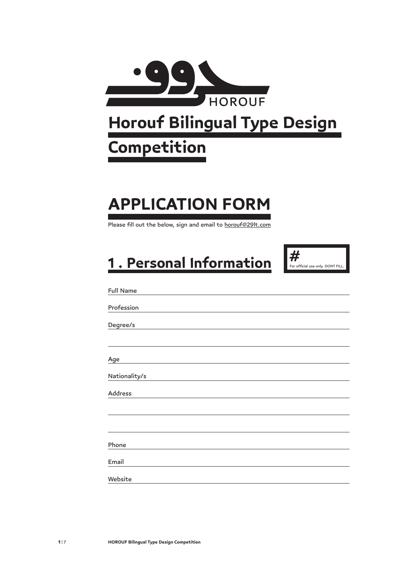

# **Horouf Bilingual Type Design**

### **Competition**

## **APPLICATION FORM**

Please fill out the below, sign and email to horouf@29lt.com

## **1 . Personal Information**



| <b>Full Name</b> |
|------------------|
|                  |
| Profession       |
| Degree/s         |
|                  |
|                  |
| Age              |
| Nationality/s    |
| Address          |
|                  |
|                  |
| Phone            |
|                  |
| Email            |
| Website          |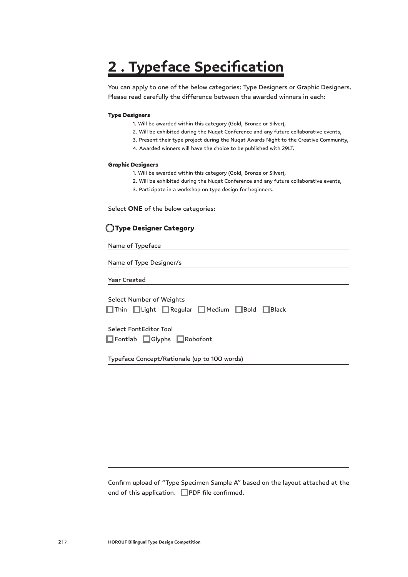### **2 . Typeface Specification**

You can apply to one of the below categories: Type Designers or Graphic Designers. Please read carefully the difference between the awarded winners in each:

#### Type Designers

- 1. Will be awarded within this category (Gold, Bronze or Silver),
- 2. Will be exhibited during the Nuqat Conference and any future collaborative events,
- 3. Present their type project during the Nuqat Awards Night to the Creative Community,
- 4. Awarded winners will have the choice to be published with 29LT.

#### Graphic Designers

- 1. Will be awarded within this category (Gold, Bronze or Silver),
- 2. Will be exhibited during the Nuqat Conference and any future collaborative events,
- 3. Participate in a workshop on type design for beginners.

Select **ONE** of the below categories:

#### O Type Designer Category

Name of Typeface

Name of Type Designer/s

Year Created

Select Number of Weights O Thin O Light O Regular O Medium O Bold O Black

Select FontEditor Tool O Fontlab O Glyphs O Robofont

Typeface Concept/Rationale (up to 100 words)

Confirm upload of "Type Specimen Sample A" based on the layout attached at the end of this application.  $\Box$ PDF file confirmed.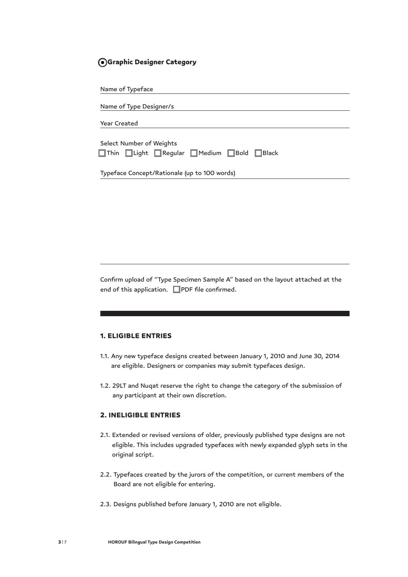#### O Graphic Designer Category

| Name of Typeface                             |
|----------------------------------------------|
|                                              |
| Name of Type Designer/s                      |
| <b>Year Created</b>                          |
|                                              |
| Select Number of Weights                     |
| Thin Light Regular Medium Bold Black         |
|                                              |
| Typeface Concept/Rationale (up to 100 words) |

Confirm upload of "Type Specimen Sample A" based on the layout attached at the end of this application.  $\Box$  PDF file confirmed.

#### 1. ELIGIBLE ENTRIES

- 1.1. Any new typeface designs created between January 1, 2010 and June 30, 2014 are eligible. Designers or companies may submit typefaces design.
- 1.2. 29LT and Nuqat reserve the right to change the category of the submission of any participant at their own discretion.

#### 2. INELIGIBLE ENTRIES

- 2.1. Extended or revised versions of older, previously published type designs are not eligible. This includes upgraded typefaces with newly expanded glyph sets in the original script.
- 2.2. Typefaces created by the jurors of the competition, or current members of the Board are not eligible for entering.
- 2.3. Designs published before January 1, 2010 are not eligible.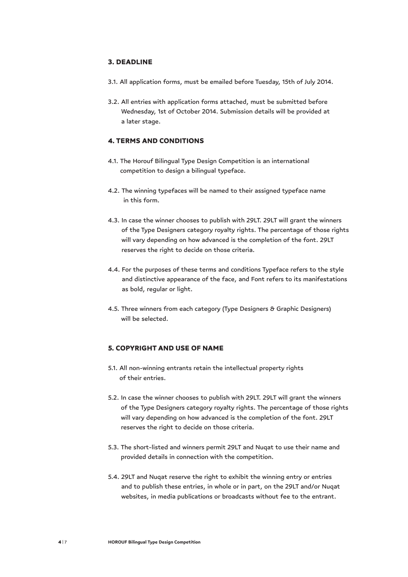#### 3. DEADLINE

- 3.1. All application forms, must be emailed before Tuesday, 15th of July 2014.
- 3.2. All entries with application forms attached, must be submitted before Wednesday, 1st of October 2014. Submission details will be provided at a later stage.

#### 4. TERMS AND CONDITIONS

- 4.1. The Horouf Bilingual Type Design Competition is an international competition to design a bilingual typeface.
- 4.2. The winning typefaces will be named to their assigned typeface name in this form.
- 4.3. In case the winner chooses to publish with 29LT. 29LT will grant the winners of the Type Designers category royalty rights. The percentage of those rights will vary depending on how advanced is the completion of the font. 29LT reserves the right to decide on those criteria.
- 4.4. For the purposes of these terms and conditions Typeface refers to the style and distinctive appearance of the face, and Font refers to its manifestations as bold, regular or light.
- 4.5. Three winners from each category (Type Designers & Graphic Designers) will be selected.

#### 5. COPYRIGHT AND USE OF NAME

- 5.1. All non-winning entrants retain the intellectual property rights of their entries.
- 5.2. In case the winner chooses to publish with 29LT. 29LT will grant the winners of the Type Designers category royalty rights. The percentage of those rights will vary depending on how advanced is the completion of the font. 29LT reserves the right to decide on those criteria.
- 5.3. The short-listed and winners permit 29LT and Nuqat to use their name and provided details in connection with the competition.
- 5.4. 29LT and Nuqat reserve the right to exhibit the winning entry or entries and to publish these entries, in whole or in part, on the 29LT and/or Nuqat websites, in media publications or broadcasts without fee to the entrant.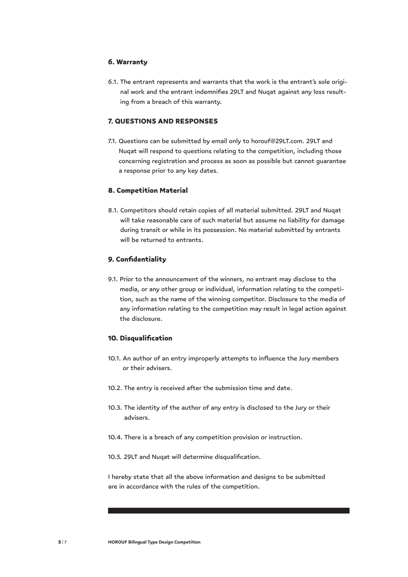#### 6. Warranty

6.1. The entrant represents and warrants that the work is the entrant's sole original work and the entrant indemnifies 29LT and Nuqat against any loss resulting from a breach of this warranty.

#### 7. QUESTIONS AND RESPONSES

7.1. Questions can be submitted by email only to horouf@29LT.com. 29LT and Nuqat will respond to questions relating to the competition, including those concerning registration and process as soon as possible but cannot guarantee a response prior to any key dates.

#### 8. Competition Material

8.1. Competitors should retain copies of all material submitted. 29LT and Nuqat will take reasonable care of such material but assume no liability for damage during transit or while in its possession. No material submitted by entrants will be returned to entrants.

#### 9. Confidentiality

9.1. Prior to the announcement of the winners, no entrant may disclose to the media, or any other group or individual, information relating to the competition, such as the name of the winning competitor. Disclosure to the media of any information relating to the competition may result in legal action against the disclosure.

#### 10. Disqualification

- 10.1. An author of an entry improperly attempts to influence the Jury members or their advisers.
- 10.2. The entry is received after the submission time and date.
- 10.3. The identity of the author of any entry is disclosed to the Jury or their advisers.
- 10.4. There is a breach of any competition provision or instruction.
- 10.5. 29LT and Nuqat will determine disqualification.

I hereby state that all the above information and designs to be submitted are in accordance with the rules of the competition.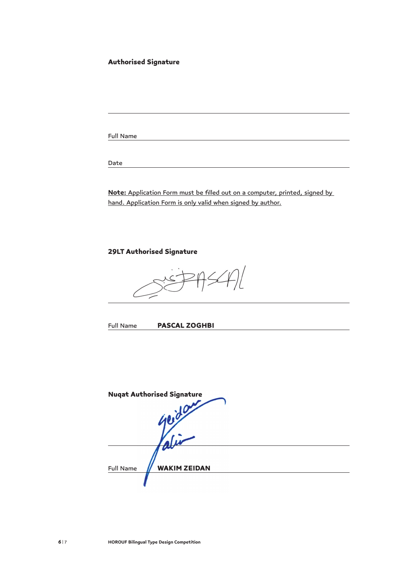#### Authorised Signature

Full Name

Date

**Note:** Application Form must be filled out on a computer, printed, signed by hand. Application Form is only valid when signed by author.

29LT Authorised Signature

Full Name PASCAL ZOGHBI

Nuqat Authorised Signature Ą Full Name **// WAKIM ZEIDAN**